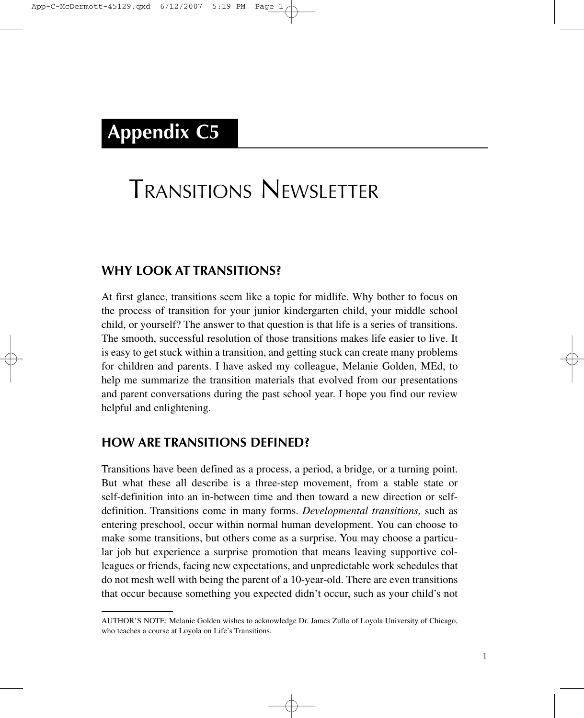## **Appendix C5**

# TRANSITIONS NEWSLETTER

#### **WHY LOOK AT TRANSITIONS?**

At first glance, transitions seem like a topic for midlife. Why bother to focus on the process of transition for your junior kindergarten child, your middle school child, or yourself? The answer to that question is that life is a series of transitions. The smooth, successful resolution of those transitions makes life easier to live. It is easy to get stuck within a transition, and getting stuck can create many problems for children and parents. I have asked my colleague, Melanie Golden, MEd, to help me summarize the transition materials that evolved from our presentations and parent conversations during the past school year. I hope you find our review helpful and enlightening.

#### **HOW ARE TRANSITIONS DEFINED?**

Transitions have been defined as a process, a period, a bridge, or a turning point. But what these all describe is a three-step movement, from a stable state or self-definition into an in-between time and then toward a new direction or selfdefinition. Transitions come in many forms. *Developmental transitions,* such as entering preschool, occur within normal human development. You can choose to make some transitions, but others come as a surprise. You may choose a particular job but experience a surprise promotion that means leaving supportive colleagues or friends, facing new expectations, and unpredictable work schedules that do not mesh well with being the parent of a 10-year-old. There are even transitions that occur because something you expected didn't occur, such as your child's not

AUTHOR'S NOTE: Melanie Golden wishes to acknowledge Dr. James Zullo of Loyola University of Chicago, who teaches a course at Loyola on Life's Transitions.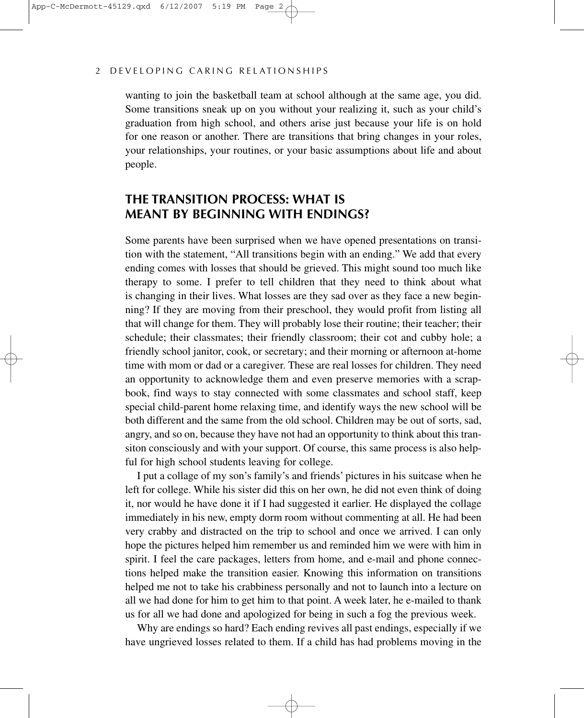#### 2 DEVELOPING CARING RELATIONSHIPS

wanting to join the basketball team at school although at the same age, you did. Some transitions sneak up on you without your realizing it, such as your child's graduation from high school, and others arise just because your life is on hold for one reason or another. There are transitions that bring changes in your roles, your relationships, your routines, or your basic assumptions about life and about people.

#### **THE TRANSITION PROCESS: WHAT IS MEANT BY BEGINNING WITH ENDINGS?**

Some parents have been surprised when we have opened presentations on transition with the statement, "All transitions begin with an ending." We add that every ending comes with losses that should be grieved. This might sound too much like therapy to some. I prefer to tell children that they need to think about what is changing in their lives. What losses are they sad over as they face a new beginning? If they are moving from their preschool, they would profit from listing all that will change for them. They will probably lose their routine; their teacher; their schedule; their classmates; their friendly classroom; their cot and cubby hole; a friendly school janitor, cook, or secretary; and their morning or afternoon at-home time with mom or dad or a caregiver. These are real losses for children. They need an opportunity to acknowledge them and even preserve memories with a scrapbook, find ways to stay connected with some classmates and school staff, keep special child-parent home relaxing time, and identify ways the new school will be both different and the same from the old school. Children may be out of sorts, sad, angry, and so on, because they have not had an opportunity to think about this transiton consciously and with your support. Of course, this same process is also helpful for high school students leaving for college.

I put a collage of my son's family's and friends' pictures in his suitcase when he left for college. While his sister did this on her own, he did not even think of doing it, nor would he have done it if I had suggested it earlier. He displayed the collage immediately in his new, empty dorm room without commenting at all. He had been very crabby and distracted on the trip to school and once we arrived. I can only hope the pictures helped him remember us and reminded him we were with him in spirit. I feel the care packages, letters from home, and e-mail and phone connections helped make the transition easier. Knowing this information on transitions helped me not to take his crabbiness personally and not to launch into a lecture on all we had done for him to get him to that point. A week later, he e-mailed to thank us for all we had done and apologized for being in such a fog the previous week.

Why are endings so hard? Each ending revives all past endings, especially if we have ungrieved losses related to them. If a child has had problems moving in the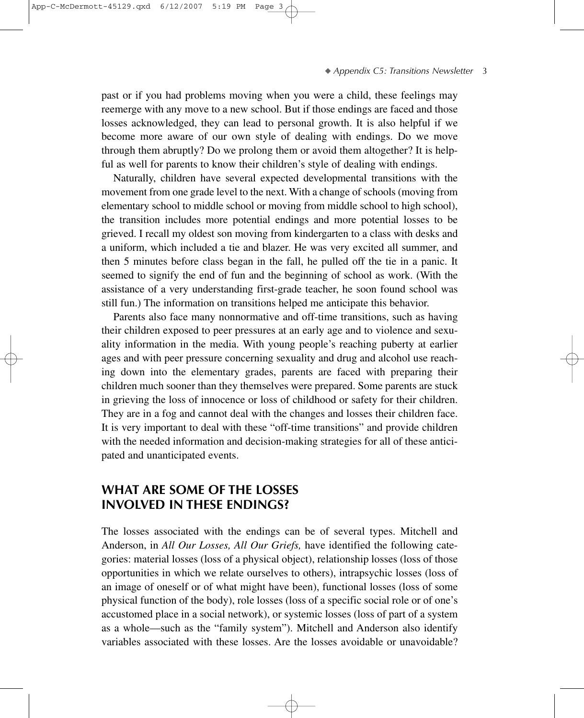past or if you had problems moving when you were a child, these feelings may reemerge with any move to a new school. But if those endings are faced and those losses acknowledged, they can lead to personal growth. It is also helpful if we become more aware of our own style of dealing with endings. Do we move through them abruptly? Do we prolong them or avoid them altogether? It is helpful as well for parents to know their children's style of dealing with endings.

Naturally, children have several expected developmental transitions with the movement from one grade level to the next. With a change of schools (moving from elementary school to middle school or moving from middle school to high school), the transition includes more potential endings and more potential losses to be grieved. I recall my oldest son moving from kindergarten to a class with desks and a uniform, which included a tie and blazer. He was very excited all summer, and then 5 minutes before class began in the fall, he pulled off the tie in a panic. It seemed to signify the end of fun and the beginning of school as work. (With the assistance of a very understanding first-grade teacher, he soon found school was still fun.) The information on transitions helped me anticipate this behavior.

Parents also face many nonnormative and off-time transitions, such as having their children exposed to peer pressures at an early age and to violence and sexuality information in the media. With young people's reaching puberty at earlier ages and with peer pressure concerning sexuality and drug and alcohol use reaching down into the elementary grades, parents are faced with preparing their children much sooner than they themselves were prepared. Some parents are stuck in grieving the loss of innocence or loss of childhood or safety for their children. They are in a fog and cannot deal with the changes and losses their children face. It is very important to deal with these "off-time transitions" and provide children with the needed information and decision-making strategies for all of these anticipated and unanticipated events.

### **WHAT ARE SOME OF THE LOSSES INVOLVED IN THESE ENDINGS?**

The losses associated with the endings can be of several types. Mitchell and Anderson, in *All Our Losses, All Our Griefs,* have identified the following categories: material losses (loss of a physical object), relationship losses (loss of those opportunities in which we relate ourselves to others), intrapsychic losses (loss of an image of oneself or of what might have been), functional losses (loss of some physical function of the body), role losses (loss of a specific social role or of one's accustomed place in a social network), or systemic losses (loss of part of a system as a whole—such as the "family system"). Mitchell and Anderson also identify variables associated with these losses. Are the losses avoidable or unavoidable?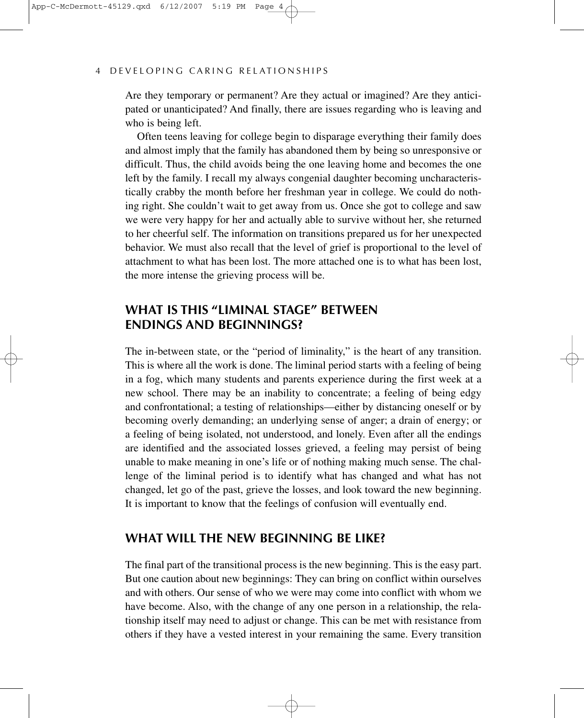#### 4 DEVELOPING CARING RELATIONSHIPS

Are they temporary or permanent? Are they actual or imagined? Are they anticipated or unanticipated? And finally, there are issues regarding who is leaving and who is being left.

Often teens leaving for college begin to disparage everything their family does and almost imply that the family has abandoned them by being so unresponsive or difficult. Thus, the child avoids being the one leaving home and becomes the one left by the family. I recall my always congenial daughter becoming uncharacteristically crabby the month before her freshman year in college. We could do nothing right. She couldn't wait to get away from us. Once she got to college and saw we were very happy for her and actually able to survive without her, she returned to her cheerful self. The information on transitions prepared us for her unexpected behavior. We must also recall that the level of grief is proportional to the level of attachment to what has been lost. The more attached one is to what has been lost, the more intense the grieving process will be.

#### **WHAT IS THIS "LIMINAL STAGE" BETWEEN ENDINGS AND BEGINNINGS?**

The in-between state, or the "period of liminality," is the heart of any transition. This is where all the work is done. The liminal period starts with a feeling of being in a fog, which many students and parents experience during the first week at a new school. There may be an inability to concentrate; a feeling of being edgy and confrontational; a testing of relationships—either by distancing oneself or by becoming overly demanding; an underlying sense of anger; a drain of energy; or a feeling of being isolated, not understood, and lonely. Even after all the endings are identified and the associated losses grieved, a feeling may persist of being unable to make meaning in one's life or of nothing making much sense. The challenge of the liminal period is to identify what has changed and what has not changed, let go of the past, grieve the losses, and look toward the new beginning. It is important to know that the feelings of confusion will eventually end.

#### **WHAT WILL THE NEW BEGINNING BE LIKE?**

The final part of the transitional process is the new beginning. This is the easy part. But one caution about new beginnings: They can bring on conflict within ourselves and with others. Our sense of who we were may come into conflict with whom we have become. Also, with the change of any one person in a relationship, the relationship itself may need to adjust or change. This can be met with resistance from others if they have a vested interest in your remaining the same. Every transition